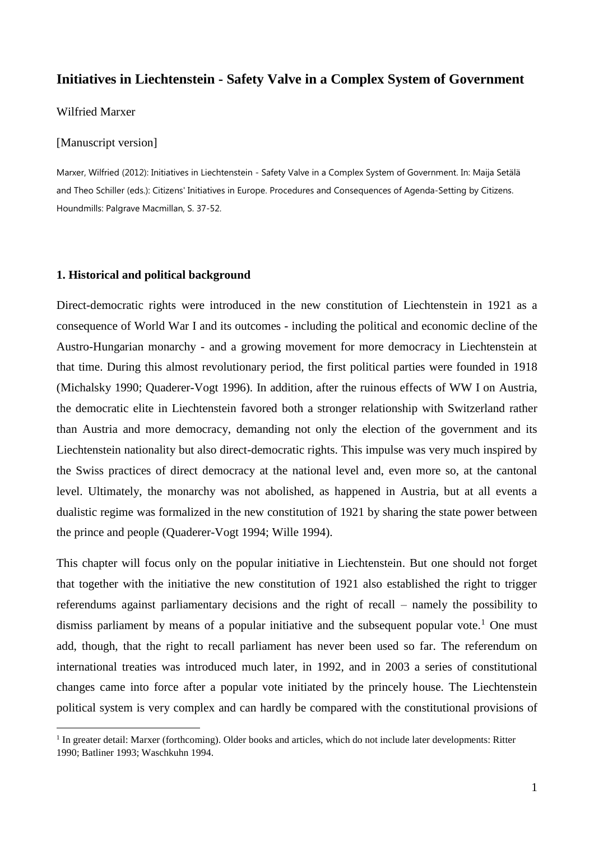# **Initiatives in Liechtenstein - Safety Valve in a Complex System of Government**

### Wilfried Marxer

 $\overline{a}$ 

### [Manuscript version]

Marxer, Wilfried (2012): Initiatives in Liechtenstein - Safety Valve in a Complex System of Government. In: Maija Setälä and Theo Schiller (eds.): Citizens' Initiatives in Europe. Procedures and Consequences of Agenda-Setting by Citizens. Houndmills: Palgrave Macmillan, S. 37-52.

#### **1. Historical and political background**

Direct-democratic rights were introduced in the new constitution of Liechtenstein in 1921 as a consequence of World War I and its outcomes - including the political and economic decline of the Austro-Hungarian monarchy - and a growing movement for more democracy in Liechtenstein at that time. During this almost revolutionary period, the first political parties were founded in 1918 (Michalsky 1990; Quaderer-Vogt 1996). In addition, after the ruinous effects of WW I on Austria, the democratic elite in Liechtenstein favored both a stronger relationship with Switzerland rather than Austria and more democracy, demanding not only the election of the government and its Liechtenstein nationality but also direct-democratic rights. This impulse was very much inspired by the Swiss practices of direct democracy at the national level and, even more so, at the cantonal level. Ultimately, the monarchy was not abolished, as happened in Austria, but at all events a dualistic regime was formalized in the new constitution of 1921 by sharing the state power between the prince and people (Quaderer-Vogt 1994; Wille 1994).

This chapter will focus only on the popular initiative in Liechtenstein. But one should not forget that together with the initiative the new constitution of 1921 also established the right to trigger referendums against parliamentary decisions and the right of recall – namely the possibility to dismiss parliament by means of a popular initiative and the subsequent popular vote.<sup>1</sup> One must add, though, that the right to recall parliament has never been used so far. The referendum on international treaties was introduced much later, in 1992, and in 2003 a series of constitutional changes came into force after a popular vote initiated by the princely house. The Liechtenstein political system is very complex and can hardly be compared with the constitutional provisions of

<sup>&</sup>lt;sup>1</sup> In greater detail: Marxer (forthcoming). Older books and articles, which do not include later developments: Ritter 1990; Batliner 1993; Waschkuhn 1994.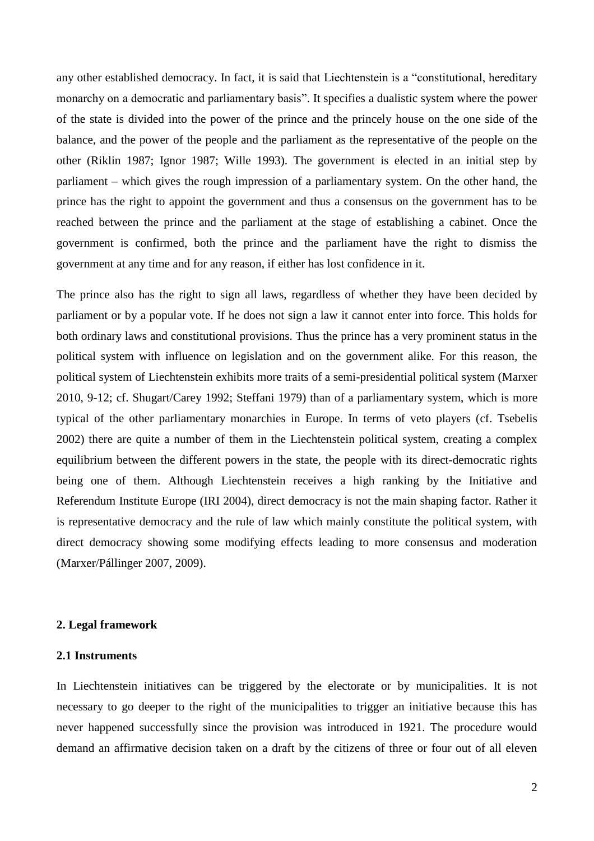any other established democracy. In fact, it is said that Liechtenstein is a "constitutional, hereditary monarchy on a democratic and parliamentary basis". It specifies a dualistic system where the power of the state is divided into the power of the prince and the princely house on the one side of the balance, and the power of the people and the parliament as the representative of the people on the other (Riklin 1987; Ignor 1987; Wille 1993). The government is elected in an initial step by parliament – which gives the rough impression of a parliamentary system. On the other hand, the prince has the right to appoint the government and thus a consensus on the government has to be reached between the prince and the parliament at the stage of establishing a cabinet. Once the government is confirmed, both the prince and the parliament have the right to dismiss the government at any time and for any reason, if either has lost confidence in it.

The prince also has the right to sign all laws, regardless of whether they have been decided by parliament or by a popular vote. If he does not sign a law it cannot enter into force. This holds for both ordinary laws and constitutional provisions. Thus the prince has a very prominent status in the political system with influence on legislation and on the government alike. For this reason, the political system of Liechtenstein exhibits more traits of a semi-presidential political system (Marxer 2010, 9-12; cf. Shugart/Carey 1992; Steffani 1979) than of a parliamentary system, which is more typical of the other parliamentary monarchies in Europe. In terms of veto players (cf. Tsebelis 2002) there are quite a number of them in the Liechtenstein political system, creating a complex equilibrium between the different powers in the state, the people with its direct-democratic rights being one of them. Although Liechtenstein receives a high ranking by the Initiative and Referendum Institute Europe (IRI 2004), direct democracy is not the main shaping factor. Rather it is representative democracy and the rule of law which mainly constitute the political system, with direct democracy showing some modifying effects leading to more consensus and moderation (Marxer/Pállinger 2007, 2009).

#### **2. Legal framework**

# **2.1 Instruments**

In Liechtenstein initiatives can be triggered by the electorate or by municipalities. It is not necessary to go deeper to the right of the municipalities to trigger an initiative because this has never happened successfully since the provision was introduced in 1921. The procedure would demand an affirmative decision taken on a draft by the citizens of three or four out of all eleven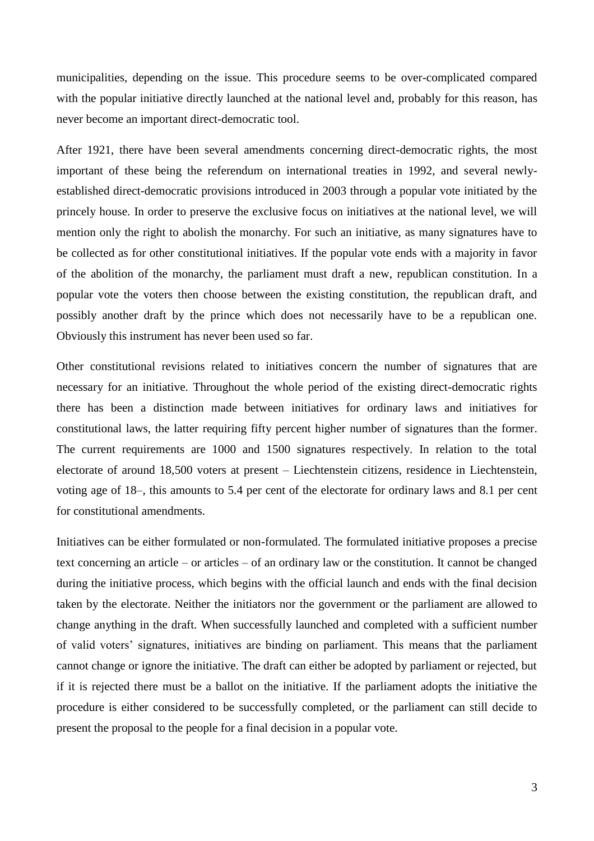municipalities, depending on the issue. This procedure seems to be over-complicated compared with the popular initiative directly launched at the national level and, probably for this reason, has never become an important direct-democratic tool.

After 1921, there have been several amendments concerning direct-democratic rights, the most important of these being the referendum on international treaties in 1992, and several newlyestablished direct-democratic provisions introduced in 2003 through a popular vote initiated by the princely house. In order to preserve the exclusive focus on initiatives at the national level, we will mention only the right to abolish the monarchy. For such an initiative, as many signatures have to be collected as for other constitutional initiatives. If the popular vote ends with a majority in favor of the abolition of the monarchy, the parliament must draft a new, republican constitution. In a popular vote the voters then choose between the existing constitution, the republican draft, and possibly another draft by the prince which does not necessarily have to be a republican one. Obviously this instrument has never been used so far.

Other constitutional revisions related to initiatives concern the number of signatures that are necessary for an initiative. Throughout the whole period of the existing direct-democratic rights there has been a distinction made between initiatives for ordinary laws and initiatives for constitutional laws, the latter requiring fifty percent higher number of signatures than the former. The current requirements are 1000 and 1500 signatures respectively. In relation to the total electorate of around 18,500 voters at present – Liechtenstein citizens, residence in Liechtenstein, voting age of 18–, this amounts to 5.4 per cent of the electorate for ordinary laws and 8.1 per cent for constitutional amendments.

Initiatives can be either formulated or non-formulated. The formulated initiative proposes a precise text concerning an article – or articles – of an ordinary law or the constitution. It cannot be changed during the initiative process, which begins with the official launch and ends with the final decision taken by the electorate. Neither the initiators nor the government or the parliament are allowed to change anything in the draft. When successfully launched and completed with a sufficient number of valid voters' signatures, initiatives are binding on parliament. This means that the parliament cannot change or ignore the initiative. The draft can either be adopted by parliament or rejected, but if it is rejected there must be a ballot on the initiative. If the parliament adopts the initiative the procedure is either considered to be successfully completed, or the parliament can still decide to present the proposal to the people for a final decision in a popular vote.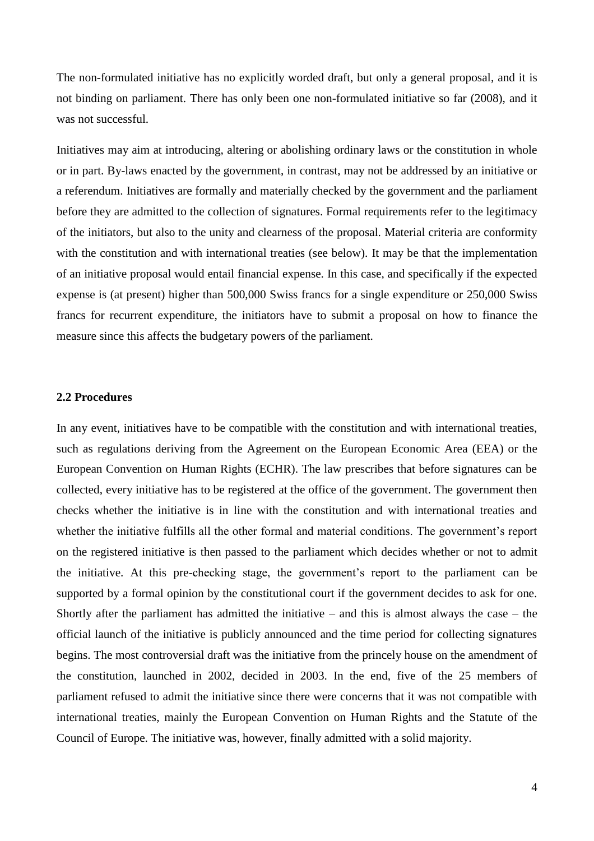The non-formulated initiative has no explicitly worded draft, but only a general proposal, and it is not binding on parliament. There has only been one non-formulated initiative so far (2008), and it was not successful.

Initiatives may aim at introducing, altering or abolishing ordinary laws or the constitution in whole or in part. By-laws enacted by the government, in contrast, may not be addressed by an initiative or a referendum. Initiatives are formally and materially checked by the government and the parliament before they are admitted to the collection of signatures. Formal requirements refer to the legitimacy of the initiators, but also to the unity and clearness of the proposal. Material criteria are conformity with the constitution and with international treaties (see below). It may be that the implementation of an initiative proposal would entail financial expense. In this case, and specifically if the expected expense is (at present) higher than 500,000 Swiss francs for a single expenditure or 250,000 Swiss francs for recurrent expenditure, the initiators have to submit a proposal on how to finance the measure since this affects the budgetary powers of the parliament.

### **2.2 Procedures**

In any event, initiatives have to be compatible with the constitution and with international treaties, such as regulations deriving from the Agreement on the European Economic Area (EEA) or the European Convention on Human Rights (ECHR). The law prescribes that before signatures can be collected, every initiative has to be registered at the office of the government. The government then checks whether the initiative is in line with the constitution and with international treaties and whether the initiative fulfills all the other formal and material conditions. The government's report on the registered initiative is then passed to the parliament which decides whether or not to admit the initiative. At this pre-checking stage, the government's report to the parliament can be supported by a formal opinion by the constitutional court if the government decides to ask for one. Shortly after the parliament has admitted the initiative – and this is almost always the case – the official launch of the initiative is publicly announced and the time period for collecting signatures begins. The most controversial draft was the initiative from the princely house on the amendment of the constitution, launched in 2002, decided in 2003. In the end, five of the 25 members of parliament refused to admit the initiative since there were concerns that it was not compatible with international treaties, mainly the European Convention on Human Rights and the Statute of the Council of Europe. The initiative was, however, finally admitted with a solid majority.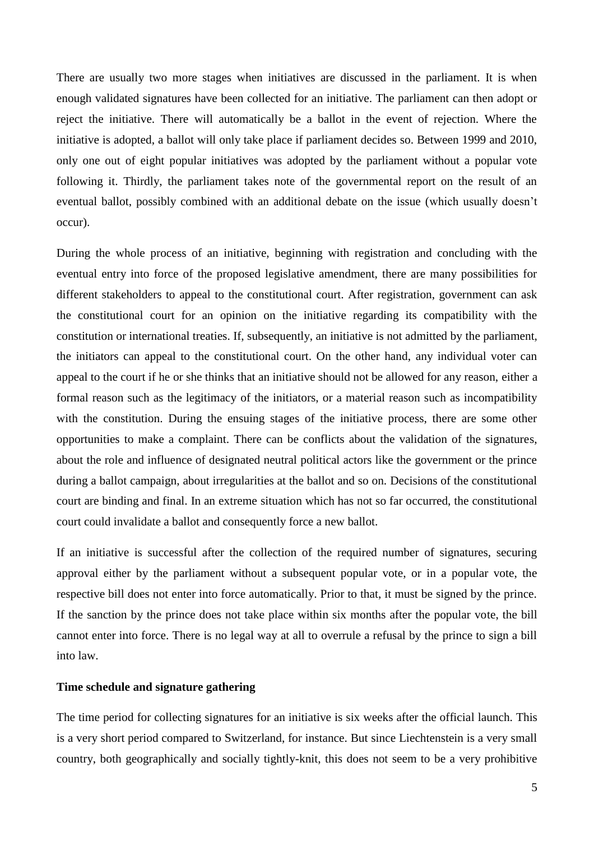There are usually two more stages when initiatives are discussed in the parliament. It is when enough validated signatures have been collected for an initiative. The parliament can then adopt or reject the initiative. There will automatically be a ballot in the event of rejection. Where the initiative is adopted, a ballot will only take place if parliament decides so. Between 1999 and 2010, only one out of eight popular initiatives was adopted by the parliament without a popular vote following it. Thirdly, the parliament takes note of the governmental report on the result of an eventual ballot, possibly combined with an additional debate on the issue (which usually doesn't occur).

During the whole process of an initiative, beginning with registration and concluding with the eventual entry into force of the proposed legislative amendment, there are many possibilities for different stakeholders to appeal to the constitutional court. After registration, government can ask the constitutional court for an opinion on the initiative regarding its compatibility with the constitution or international treaties. If, subsequently, an initiative is not admitted by the parliament, the initiators can appeal to the constitutional court. On the other hand, any individual voter can appeal to the court if he or she thinks that an initiative should not be allowed for any reason, either a formal reason such as the legitimacy of the initiators, or a material reason such as incompatibility with the constitution. During the ensuing stages of the initiative process, there are some other opportunities to make a complaint. There can be conflicts about the validation of the signatures, about the role and influence of designated neutral political actors like the government or the prince during a ballot campaign, about irregularities at the ballot and so on. Decisions of the constitutional court are binding and final. In an extreme situation which has not so far occurred, the constitutional court could invalidate a ballot and consequently force a new ballot.

If an initiative is successful after the collection of the required number of signatures, securing approval either by the parliament without a subsequent popular vote, or in a popular vote, the respective bill does not enter into force automatically. Prior to that, it must be signed by the prince. If the sanction by the prince does not take place within six months after the popular vote, the bill cannot enter into force. There is no legal way at all to overrule a refusal by the prince to sign a bill into law.

# **Time schedule and signature gathering**

The time period for collecting signatures for an initiative is six weeks after the official launch. This is a very short period compared to Switzerland, for instance. But since Liechtenstein is a very small country, both geographically and socially tightly-knit, this does not seem to be a very prohibitive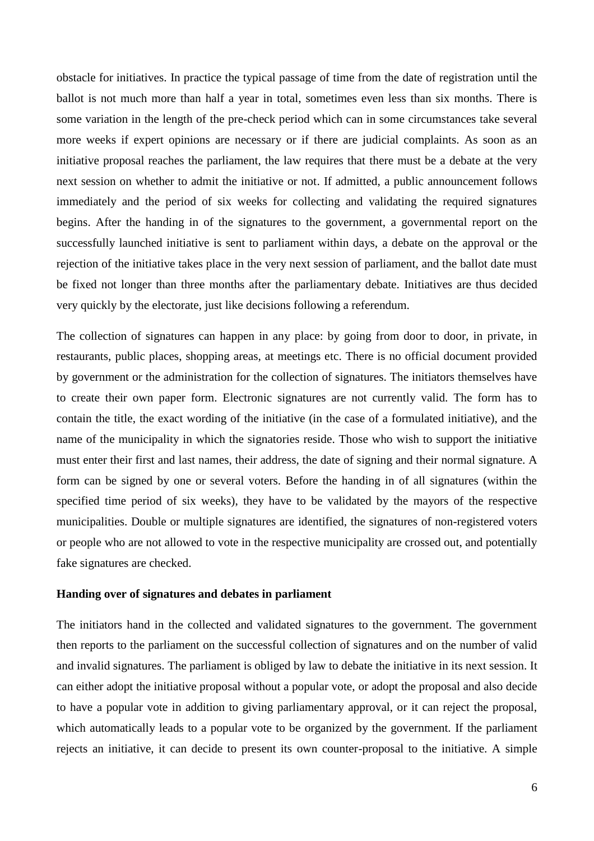obstacle for initiatives. In practice the typical passage of time from the date of registration until the ballot is not much more than half a year in total, sometimes even less than six months. There is some variation in the length of the pre-check period which can in some circumstances take several more weeks if expert opinions are necessary or if there are judicial complaints. As soon as an initiative proposal reaches the parliament, the law requires that there must be a debate at the very next session on whether to admit the initiative or not. If admitted, a public announcement follows immediately and the period of six weeks for collecting and validating the required signatures begins. After the handing in of the signatures to the government, a governmental report on the successfully launched initiative is sent to parliament within days, a debate on the approval or the rejection of the initiative takes place in the very next session of parliament, and the ballot date must be fixed not longer than three months after the parliamentary debate. Initiatives are thus decided very quickly by the electorate, just like decisions following a referendum.

The collection of signatures can happen in any place: by going from door to door, in private, in restaurants, public places, shopping areas, at meetings etc. There is no official document provided by government or the administration for the collection of signatures. The initiators themselves have to create their own paper form. Electronic signatures are not currently valid. The form has to contain the title, the exact wording of the initiative (in the case of a formulated initiative), and the name of the municipality in which the signatories reside. Those who wish to support the initiative must enter their first and last names, their address, the date of signing and their normal signature. A form can be signed by one or several voters. Before the handing in of all signatures (within the specified time period of six weeks), they have to be validated by the mayors of the respective municipalities. Double or multiple signatures are identified, the signatures of non-registered voters or people who are not allowed to vote in the respective municipality are crossed out, and potentially fake signatures are checked.

## **Handing over of signatures and debates in parliament**

The initiators hand in the collected and validated signatures to the government. The government then reports to the parliament on the successful collection of signatures and on the number of valid and invalid signatures. The parliament is obliged by law to debate the initiative in its next session. It can either adopt the initiative proposal without a popular vote, or adopt the proposal and also decide to have a popular vote in addition to giving parliamentary approval, or it can reject the proposal, which automatically leads to a popular vote to be organized by the government. If the parliament rejects an initiative, it can decide to present its own counter-proposal to the initiative. A simple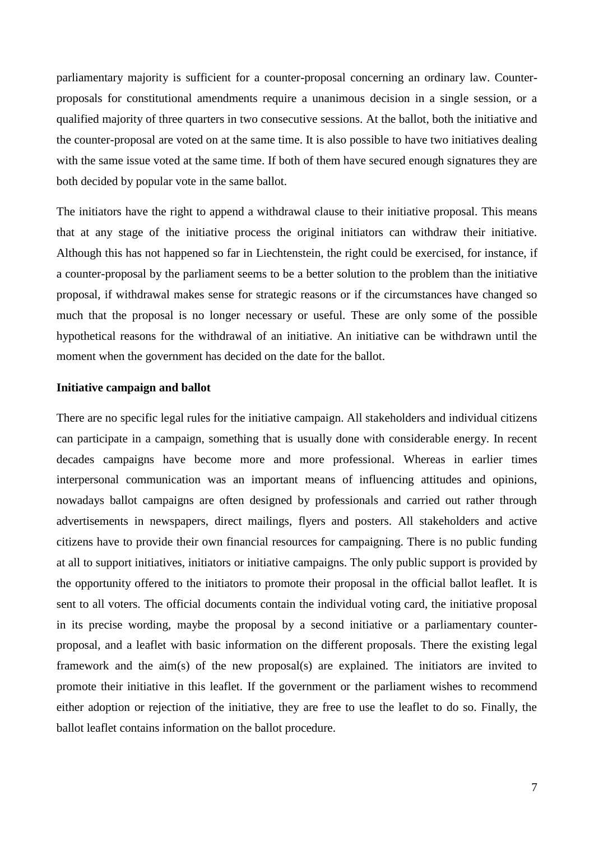parliamentary majority is sufficient for a counter-proposal concerning an ordinary law. Counterproposals for constitutional amendments require a unanimous decision in a single session, or a qualified majority of three quarters in two consecutive sessions. At the ballot, both the initiative and the counter-proposal are voted on at the same time. It is also possible to have two initiatives dealing with the same issue voted at the same time. If both of them have secured enough signatures they are both decided by popular vote in the same ballot.

The initiators have the right to append a withdrawal clause to their initiative proposal. This means that at any stage of the initiative process the original initiators can withdraw their initiative. Although this has not happened so far in Liechtenstein, the right could be exercised, for instance, if a counter-proposal by the parliament seems to be a better solution to the problem than the initiative proposal, if withdrawal makes sense for strategic reasons or if the circumstances have changed so much that the proposal is no longer necessary or useful. These are only some of the possible hypothetical reasons for the withdrawal of an initiative. An initiative can be withdrawn until the moment when the government has decided on the date for the ballot.

# **Initiative campaign and ballot**

There are no specific legal rules for the initiative campaign. All stakeholders and individual citizens can participate in a campaign, something that is usually done with considerable energy. In recent decades campaigns have become more and more professional. Whereas in earlier times interpersonal communication was an important means of influencing attitudes and opinions, nowadays ballot campaigns are often designed by professionals and carried out rather through advertisements in newspapers, direct mailings, flyers and posters. All stakeholders and active citizens have to provide their own financial resources for campaigning. There is no public funding at all to support initiatives, initiators or initiative campaigns. The only public support is provided by the opportunity offered to the initiators to promote their proposal in the official ballot leaflet. It is sent to all voters. The official documents contain the individual voting card, the initiative proposal in its precise wording, maybe the proposal by a second initiative or a parliamentary counterproposal, and a leaflet with basic information on the different proposals. There the existing legal framework and the aim(s) of the new proposal(s) are explained. The initiators are invited to promote their initiative in this leaflet. If the government or the parliament wishes to recommend either adoption or rejection of the initiative, they are free to use the leaflet to do so. Finally, the ballot leaflet contains information on the ballot procedure.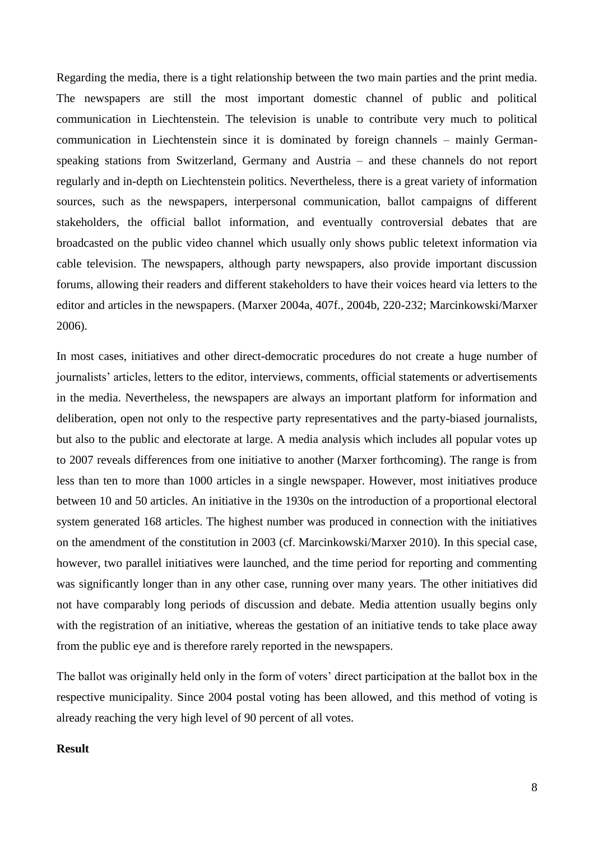Regarding the media, there is a tight relationship between the two main parties and the print media. The newspapers are still the most important domestic channel of public and political communication in Liechtenstein. The television is unable to contribute very much to political communication in Liechtenstein since it is dominated by foreign channels – mainly Germanspeaking stations from Switzerland, Germany and Austria – and these channels do not report regularly and in-depth on Liechtenstein politics. Nevertheless, there is a great variety of information sources, such as the newspapers, interpersonal communication, ballot campaigns of different stakeholders, the official ballot information, and eventually controversial debates that are broadcasted on the public video channel which usually only shows public teletext information via cable television. The newspapers, although party newspapers, also provide important discussion forums, allowing their readers and different stakeholders to have their voices heard via letters to the editor and articles in the newspapers. (Marxer 2004a, 407f., 2004b, 220-232; Marcinkowski/Marxer 2006).

In most cases, initiatives and other direct-democratic procedures do not create a huge number of journalists' articles, letters to the editor, interviews, comments, official statements or advertisements in the media. Nevertheless, the newspapers are always an important platform for information and deliberation, open not only to the respective party representatives and the party-biased journalists, but also to the public and electorate at large. A media analysis which includes all popular votes up to 2007 reveals differences from one initiative to another (Marxer forthcoming). The range is from less than ten to more than 1000 articles in a single newspaper. However, most initiatives produce between 10 and 50 articles. An initiative in the 1930s on the introduction of a proportional electoral system generated 168 articles. The highest number was produced in connection with the initiatives on the amendment of the constitution in 2003 (cf. Marcinkowski/Marxer 2010). In this special case, however, two parallel initiatives were launched, and the time period for reporting and commenting was significantly longer than in any other case, running over many years. The other initiatives did not have comparably long periods of discussion and debate. Media attention usually begins only with the registration of an initiative, whereas the gestation of an initiative tends to take place away from the public eye and is therefore rarely reported in the newspapers.

The ballot was originally held only in the form of voters' direct participation at the ballot box in the respective municipality. Since 2004 postal voting has been allowed, and this method of voting is already reaching the very high level of 90 percent of all votes.

# **Result**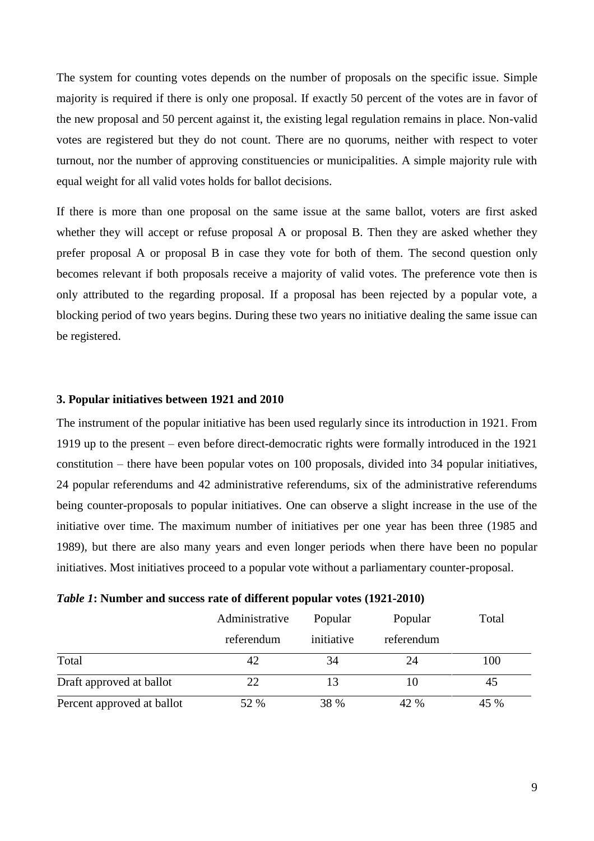The system for counting votes depends on the number of proposals on the specific issue. Simple majority is required if there is only one proposal. If exactly 50 percent of the votes are in favor of the new proposal and 50 percent against it, the existing legal regulation remains in place. Non-valid votes are registered but they do not count. There are no quorums, neither with respect to voter turnout, nor the number of approving constituencies or municipalities. A simple majority rule with equal weight for all valid votes holds for ballot decisions.

If there is more than one proposal on the same issue at the same ballot, voters are first asked whether they will accept or refuse proposal A or proposal B. Then they are asked whether they prefer proposal A or proposal B in case they vote for both of them. The second question only becomes relevant if both proposals receive a majority of valid votes. The preference vote then is only attributed to the regarding proposal. If a proposal has been rejected by a popular vote, a blocking period of two years begins. During these two years no initiative dealing the same issue can be registered.

#### **3. Popular initiatives between 1921 and 2010**

The instrument of the popular initiative has been used regularly since its introduction in 1921. From 1919 up to the present – even before direct-democratic rights were formally introduced in the 1921 constitution – there have been popular votes on 100 proposals, divided into 34 popular initiatives, 24 popular referendums and 42 administrative referendums, six of the administrative referendums being counter-proposals to popular initiatives. One can observe a slight increase in the use of the initiative over time. The maximum number of initiatives per one year has been three (1985 and 1989), but there are also many years and even longer periods when there have been no popular initiatives. Most initiatives proceed to a popular vote without a parliamentary counter-proposal.

|  | Table 1: Number and success rate of different popular votes (1921-2010) |  |  |
|--|-------------------------------------------------------------------------|--|--|
|--|-------------------------------------------------------------------------|--|--|

|                            | Administrative | Popular    | Popular    | Total |
|----------------------------|----------------|------------|------------|-------|
|                            | referendum     | initiative | referendum |       |
| Total                      | 42             | 34         | 24         | 100   |
| Draft approved at ballot   | 22             |            | 10         | 45    |
| Percent approved at ballot | 52 %           | 38 %       | 42 %       | 45 %  |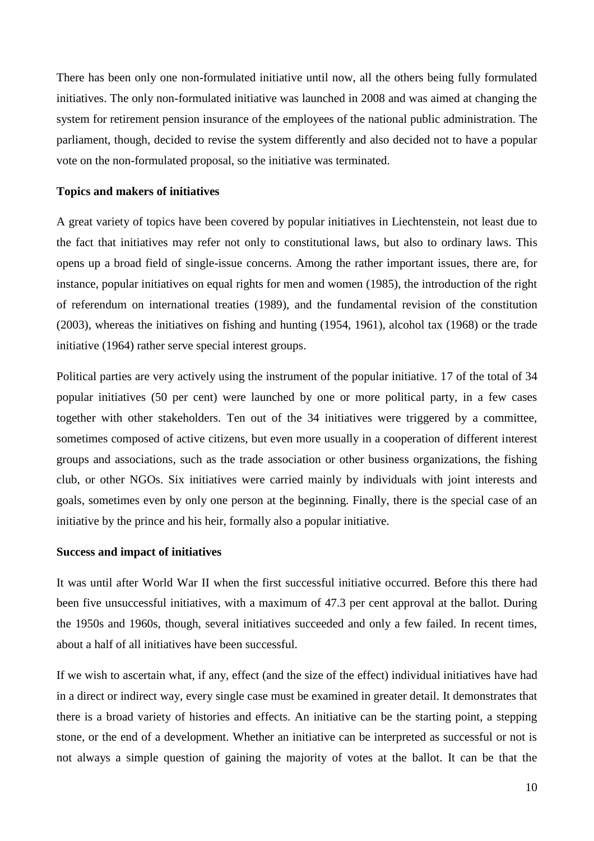There has been only one non-formulated initiative until now, all the others being fully formulated initiatives. The only non-formulated initiative was launched in 2008 and was aimed at changing the system for retirement pension insurance of the employees of the national public administration. The parliament, though, decided to revise the system differently and also decided not to have a popular vote on the non-formulated proposal, so the initiative was terminated.

# **Topics and makers of initiatives**

A great variety of topics have been covered by popular initiatives in Liechtenstein, not least due to the fact that initiatives may refer not only to constitutional laws, but also to ordinary laws. This opens up a broad field of single-issue concerns. Among the rather important issues, there are, for instance, popular initiatives on equal rights for men and women (1985), the introduction of the right of referendum on international treaties (1989), and the fundamental revision of the constitution (2003), whereas the initiatives on fishing and hunting (1954, 1961), alcohol tax (1968) or the trade initiative (1964) rather serve special interest groups.

Political parties are very actively using the instrument of the popular initiative. 17 of the total of 34 popular initiatives (50 per cent) were launched by one or more political party, in a few cases together with other stakeholders. Ten out of the 34 initiatives were triggered by a committee, sometimes composed of active citizens, but even more usually in a cooperation of different interest groups and associations, such as the trade association or other business organizations, the fishing club, or other NGOs. Six initiatives were carried mainly by individuals with joint interests and goals, sometimes even by only one person at the beginning. Finally, there is the special case of an initiative by the prince and his heir, formally also a popular initiative.

### **Success and impact of initiatives**

It was until after World War II when the first successful initiative occurred. Before this there had been five unsuccessful initiatives, with a maximum of 47.3 per cent approval at the ballot. During the 1950s and 1960s, though, several initiatives succeeded and only a few failed. In recent times, about a half of all initiatives have been successful.

If we wish to ascertain what, if any, effect (and the size of the effect) individual initiatives have had in a direct or indirect way, every single case must be examined in greater detail. It demonstrates that there is a broad variety of histories and effects. An initiative can be the starting point, a stepping stone, or the end of a development. Whether an initiative can be interpreted as successful or not is not always a simple question of gaining the majority of votes at the ballot. It can be that the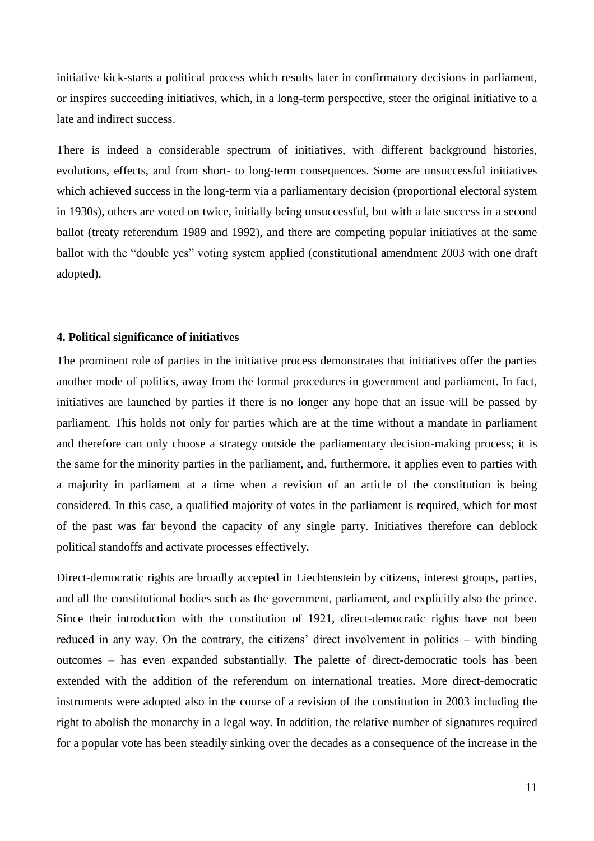initiative kick-starts a political process which results later in confirmatory decisions in parliament, or inspires succeeding initiatives, which, in a long-term perspective, steer the original initiative to a late and indirect success.

There is indeed a considerable spectrum of initiatives, with different background histories, evolutions, effects, and from short- to long-term consequences. Some are unsuccessful initiatives which achieved success in the long-term via a parliamentary decision (proportional electoral system in 1930s), others are voted on twice, initially being unsuccessful, but with a late success in a second ballot (treaty referendum 1989 and 1992), and there are competing popular initiatives at the same ballot with the "double yes" voting system applied (constitutional amendment 2003 with one draft adopted).

## **4. Political significance of initiatives**

The prominent role of parties in the initiative process demonstrates that initiatives offer the parties another mode of politics, away from the formal procedures in government and parliament. In fact, initiatives are launched by parties if there is no longer any hope that an issue will be passed by parliament. This holds not only for parties which are at the time without a mandate in parliament and therefore can only choose a strategy outside the parliamentary decision-making process; it is the same for the minority parties in the parliament, and, furthermore, it applies even to parties with a majority in parliament at a time when a revision of an article of the constitution is being considered. In this case, a qualified majority of votes in the parliament is required, which for most of the past was far beyond the capacity of any single party. Initiatives therefore can deblock political standoffs and activate processes effectively.

Direct-democratic rights are broadly accepted in Liechtenstein by citizens, interest groups, parties, and all the constitutional bodies such as the government, parliament, and explicitly also the prince. Since their introduction with the constitution of 1921, direct-democratic rights have not been reduced in any way. On the contrary, the citizens' direct involvement in politics – with binding outcomes – has even expanded substantially. The palette of direct-democratic tools has been extended with the addition of the referendum on international treaties. More direct-democratic instruments were adopted also in the course of a revision of the constitution in 2003 including the right to abolish the monarchy in a legal way. In addition, the relative number of signatures required for a popular vote has been steadily sinking over the decades as a consequence of the increase in the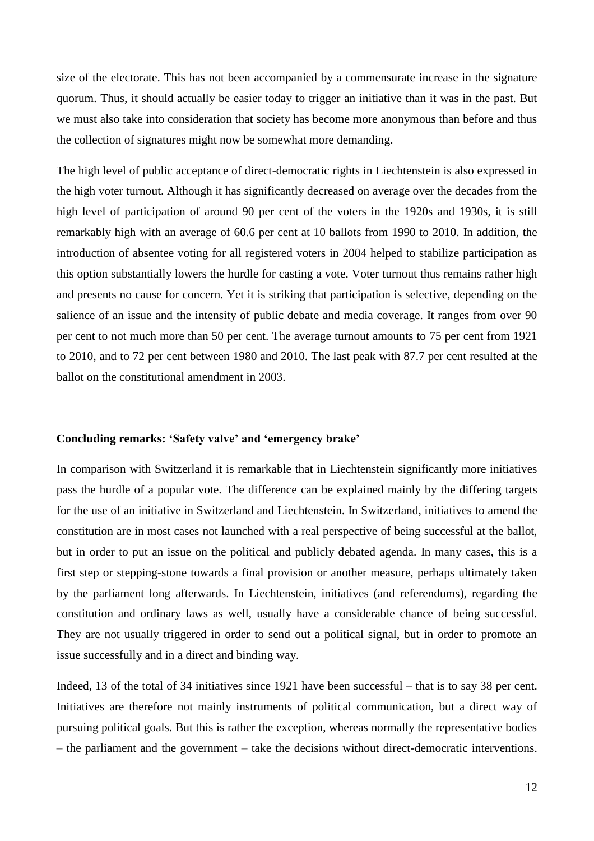size of the electorate. This has not been accompanied by a commensurate increase in the signature quorum. Thus, it should actually be easier today to trigger an initiative than it was in the past. But we must also take into consideration that society has become more anonymous than before and thus the collection of signatures might now be somewhat more demanding.

The high level of public acceptance of direct-democratic rights in Liechtenstein is also expressed in the high voter turnout. Although it has significantly decreased on average over the decades from the high level of participation of around 90 per cent of the voters in the 1920s and 1930s, it is still remarkably high with an average of 60.6 per cent at 10 ballots from 1990 to 2010. In addition, the introduction of absentee voting for all registered voters in 2004 helped to stabilize participation as this option substantially lowers the hurdle for casting a vote. Voter turnout thus remains rather high and presents no cause for concern. Yet it is striking that participation is selective, depending on the salience of an issue and the intensity of public debate and media coverage. It ranges from over 90 per cent to not much more than 50 per cent. The average turnout amounts to 75 per cent from 1921 to 2010, and to 72 per cent between 1980 and 2010. The last peak with 87.7 per cent resulted at the ballot on the constitutional amendment in 2003.

#### **Concluding remarks: 'Safety valve' and 'emergency brake'**

In comparison with Switzerland it is remarkable that in Liechtenstein significantly more initiatives pass the hurdle of a popular vote. The difference can be explained mainly by the differing targets for the use of an initiative in Switzerland and Liechtenstein. In Switzerland, initiatives to amend the constitution are in most cases not launched with a real perspective of being successful at the ballot, but in order to put an issue on the political and publicly debated agenda. In many cases, this is a first step or stepping-stone towards a final provision or another measure, perhaps ultimately taken by the parliament long afterwards. In Liechtenstein, initiatives (and referendums), regarding the constitution and ordinary laws as well, usually have a considerable chance of being successful. They are not usually triggered in order to send out a political signal, but in order to promote an issue successfully and in a direct and binding way.

Indeed, 13 of the total of 34 initiatives since 1921 have been successful – that is to say 38 per cent. Initiatives are therefore not mainly instruments of political communication, but a direct way of pursuing political goals. But this is rather the exception, whereas normally the representative bodies – the parliament and the government – take the decisions without direct-democratic interventions.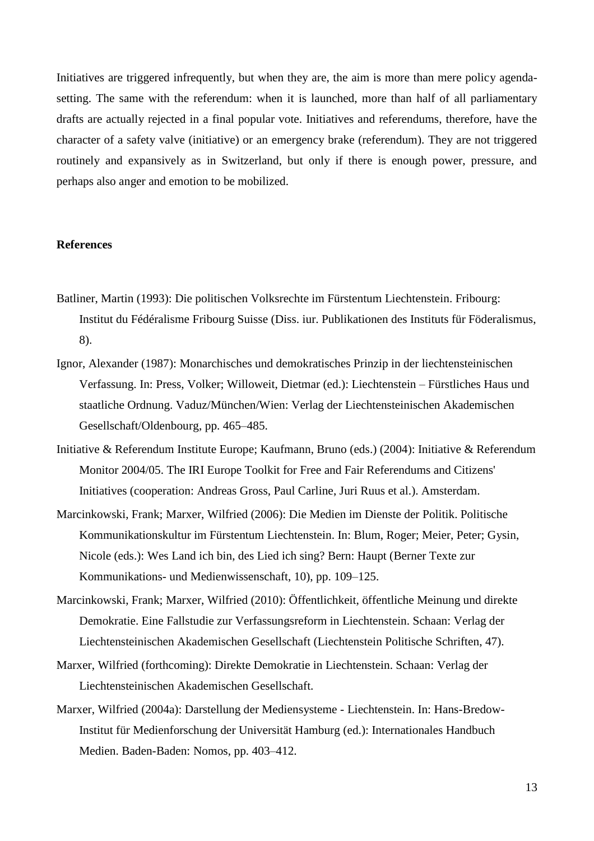Initiatives are triggered infrequently, but when they are, the aim is more than mere policy agendasetting. The same with the referendum: when it is launched, more than half of all parliamentary drafts are actually rejected in a final popular vote. Initiatives and referendums, therefore, have the character of a safety valve (initiative) or an emergency brake (referendum). They are not triggered routinely and expansively as in Switzerland, but only if there is enough power, pressure, and perhaps also anger and emotion to be mobilized.

### **References**

- Batliner, Martin (1993): Die politischen Volksrechte im Fürstentum Liechtenstein. Fribourg: Institut du Fédéralisme Fribourg Suisse (Diss. iur. Publikationen des Instituts für Föderalismus, 8).
- Ignor, Alexander (1987): Monarchisches und demokratisches Prinzip in der liechtensteinischen Verfassung. In: Press, Volker; Willoweit, Dietmar (ed.): Liechtenstein – Fürstliches Haus und staatliche Ordnung. Vaduz/München/Wien: Verlag der Liechtensteinischen Akademischen Gesellschaft/Oldenbourg, pp. 465–485.
- Initiative & Referendum Institute Europe; Kaufmann, Bruno (eds.) (2004): Initiative & Referendum Monitor 2004/05. The IRI Europe Toolkit for Free and Fair Referendums and Citizens' Initiatives (cooperation: Andreas Gross, Paul Carline, Juri Ruus et al.). Amsterdam.
- Marcinkowski, Frank; Marxer, Wilfried (2006): Die Medien im Dienste der Politik. Politische Kommunikationskultur im Fürstentum Liechtenstein. In: Blum, Roger; Meier, Peter; Gysin, Nicole (eds.): Wes Land ich bin, des Lied ich sing? Bern: Haupt (Berner Texte zur Kommunikations- und Medienwissenschaft, 10), pp. 109–125.
- Marcinkowski, Frank; Marxer, Wilfried (2010): Öffentlichkeit, öffentliche Meinung und direkte Demokratie. Eine Fallstudie zur Verfassungsreform in Liechtenstein. Schaan: Verlag der Liechtensteinischen Akademischen Gesellschaft (Liechtenstein Politische Schriften, 47).
- Marxer, Wilfried (forthcoming): Direkte Demokratie in Liechtenstein. Schaan: Verlag der Liechtensteinischen Akademischen Gesellschaft.
- Marxer, Wilfried (2004a): Darstellung der Mediensysteme Liechtenstein. In: Hans-Bredow-Institut für Medienforschung der Universität Hamburg (ed.): Internationales Handbuch Medien. Baden-Baden: Nomos, pp. 403–412.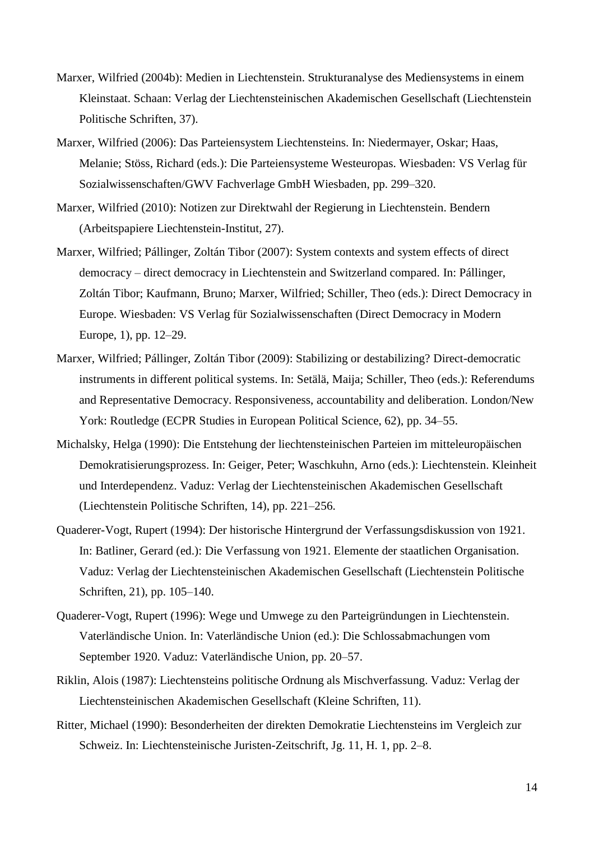- Marxer, Wilfried (2004b): Medien in Liechtenstein. Strukturanalyse des Mediensystems in einem Kleinstaat. Schaan: Verlag der Liechtensteinischen Akademischen Gesellschaft (Liechtenstein Politische Schriften, 37).
- Marxer, Wilfried (2006): Das Parteiensystem Liechtensteins. In: Niedermayer, Oskar; Haas, Melanie; Stöss, Richard (eds.): Die Parteiensysteme Westeuropas. Wiesbaden: VS Verlag für Sozialwissenschaften/GWV Fachverlage GmbH Wiesbaden, pp. 299–320.
- Marxer, Wilfried (2010): Notizen zur Direktwahl der Regierung in Liechtenstein. Bendern (Arbeitspapiere Liechtenstein-Institut, 27).
- Marxer, Wilfried; Pállinger, Zoltán Tibor (2007): System contexts and system effects of direct democracy – direct democracy in Liechtenstein and Switzerland compared. In: Pállinger, Zoltán Tibor; Kaufmann, Bruno; Marxer, Wilfried; Schiller, Theo (eds.): Direct Democracy in Europe. Wiesbaden: VS Verlag für Sozialwissenschaften (Direct Democracy in Modern Europe, 1), pp. 12–29.
- Marxer, Wilfried; Pállinger, Zoltán Tibor (2009): Stabilizing or destabilizing? Direct-democratic instruments in different political systems. In: Setälä, Maija; Schiller, Theo (eds.): Referendums and Representative Democracy. Responsiveness, accountability and deliberation. London/New York: Routledge (ECPR Studies in European Political Science, 62), pp. 34–55.
- Michalsky, Helga (1990): Die Entstehung der liechtensteinischen Parteien im mitteleuropäischen Demokratisierungsprozess. In: Geiger, Peter; Waschkuhn, Arno (eds.): Liechtenstein. Kleinheit und Interdependenz. Vaduz: Verlag der Liechtensteinischen Akademischen Gesellschaft (Liechtenstein Politische Schriften, 14), pp. 221–256.
- Quaderer-Vogt, Rupert (1994): Der historische Hintergrund der Verfassungsdiskussion von 1921. In: Batliner, Gerard (ed.): Die Verfassung von 1921. Elemente der staatlichen Organisation. Vaduz: Verlag der Liechtensteinischen Akademischen Gesellschaft (Liechtenstein Politische Schriften, 21), pp. 105–140.
- Quaderer-Vogt, Rupert (1996): Wege und Umwege zu den Parteigründungen in Liechtenstein. Vaterländische Union. In: Vaterländische Union (ed.): Die Schlossabmachungen vom September 1920. Vaduz: Vaterländische Union, pp. 20–57.
- Riklin, Alois (1987): Liechtensteins politische Ordnung als Mischverfassung. Vaduz: Verlag der Liechtensteinischen Akademischen Gesellschaft (Kleine Schriften, 11).
- Ritter, Michael (1990): Besonderheiten der direkten Demokratie Liechtensteins im Vergleich zur Schweiz. In: Liechtensteinische Juristen-Zeitschrift, Jg. 11, H. 1, pp. 2–8.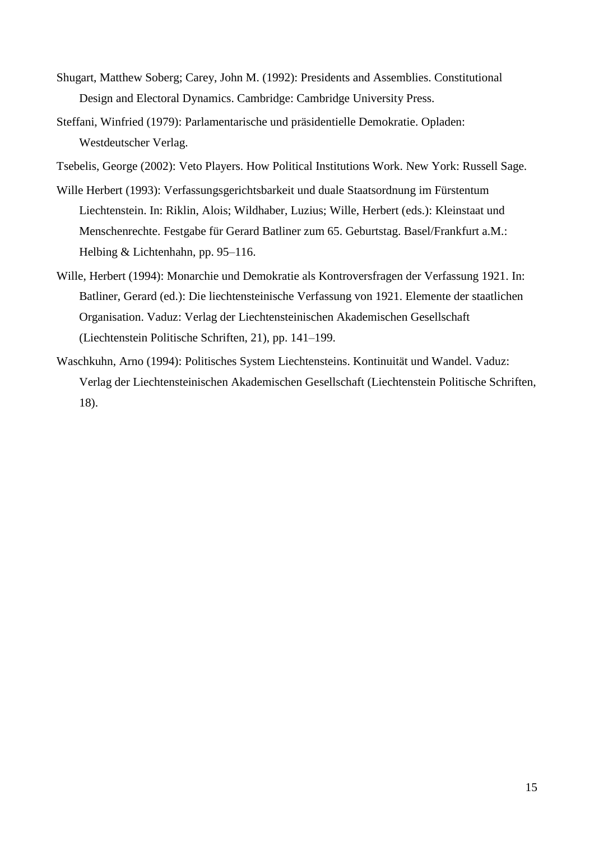- Shugart, Matthew Soberg; Carey, John M. (1992): Presidents and Assemblies. Constitutional Design and Electoral Dynamics. Cambridge: Cambridge University Press.
- Steffani, Winfried (1979): Parlamentarische und präsidentielle Demokratie. Opladen: Westdeutscher Verlag.
- Tsebelis, George (2002): Veto Players. How Political Institutions Work. New York: Russell Sage.
- Wille Herbert (1993): Verfassungsgerichtsbarkeit und duale Staatsordnung im Fürstentum Liechtenstein. In: Riklin, Alois; Wildhaber, Luzius; Wille, Herbert (eds.): Kleinstaat und Menschenrechte. Festgabe für Gerard Batliner zum 65. Geburtstag. Basel/Frankfurt a.M.: Helbing & Lichtenhahn, pp. 95–116.
- Wille, Herbert (1994): Monarchie und Demokratie als Kontroversfragen der Verfassung 1921. In: Batliner, Gerard (ed.): Die liechtensteinische Verfassung von 1921. Elemente der staatlichen Organisation. Vaduz: Verlag der Liechtensteinischen Akademischen Gesellschaft (Liechtenstein Politische Schriften, 21), pp. 141–199.
- Waschkuhn, Arno (1994): Politisches System Liechtensteins. Kontinuität und Wandel. Vaduz: Verlag der Liechtensteinischen Akademischen Gesellschaft (Liechtenstein Politische Schriften, 18).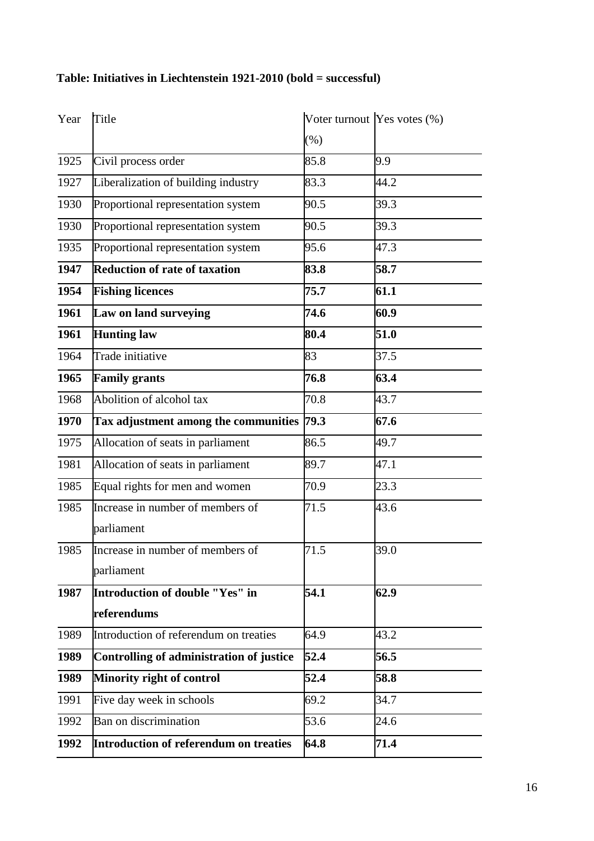| Year | Title                                    |      | Voter turnout Yes votes $(\%)$ |
|------|------------------------------------------|------|--------------------------------|
|      |                                          | (%)  |                                |
| 1925 | Civil process order                      | 85.8 | 9.9                            |
| 1927 | Liberalization of building industry      | 83.3 | 44.2                           |
| 1930 | Proportional representation system       | 90.5 | 39.3                           |
| 1930 | Proportional representation system       | 90.5 | 39.3                           |
| 1935 | Proportional representation system       | 95.6 | 47.3                           |
| 1947 | <b>Reduction of rate of taxation</b>     | 83.8 | 58.7                           |
| 1954 | <b>Fishing licences</b>                  | 75.7 | 61.1                           |
| 1961 | Law on land surveying                    | 74.6 | 60.9                           |
| 1961 | <b>Hunting law</b>                       | 80.4 | 51.0                           |
| 1964 | Trade initiative                         | 83   | 37.5                           |
| 1965 | <b>Family grants</b>                     | 76.8 | 63.4                           |
| 1968 | Abolition of alcohol tax                 | 70.8 | 43.7                           |
| 1970 | Tax adjustment among the communities     | 79.3 | 67.6                           |
| 1975 | Allocation of seats in parliament        | 86.5 | 49.7                           |
| 1981 | Allocation of seats in parliament        | 89.7 | 47.1                           |
| 1985 | Equal rights for men and women           | 70.9 | 23.3                           |
| 1985 | Increase in number of members of         | 71.5 | 43.6                           |
|      | parliament                               |      |                                |
| 1985 | Increase in number of members of         | 71.5 | 39.0                           |
|      | parliament                               |      |                                |
| 1987 | Introduction of double "Yes" in          | 54.1 | 62.9                           |
|      | referendums                              |      |                                |
| 1989 | Introduction of referendum on treaties   | 64.9 | 43.2                           |
| 1989 | Controlling of administration of justice | 52.4 | 56.5                           |
| 1989 | Minority right of control                | 52.4 | 58.8                           |
| 1991 | Five day week in schools                 | 69.2 | 34.7                           |
| 1992 | Ban on discrimination                    | 53.6 | 24.6                           |
| 1992 | Introduction of referendum on treaties   | 64.8 | 71.4                           |

# **Table: Initiatives in Liechtenstein 1921-2010 (bold = successful)**